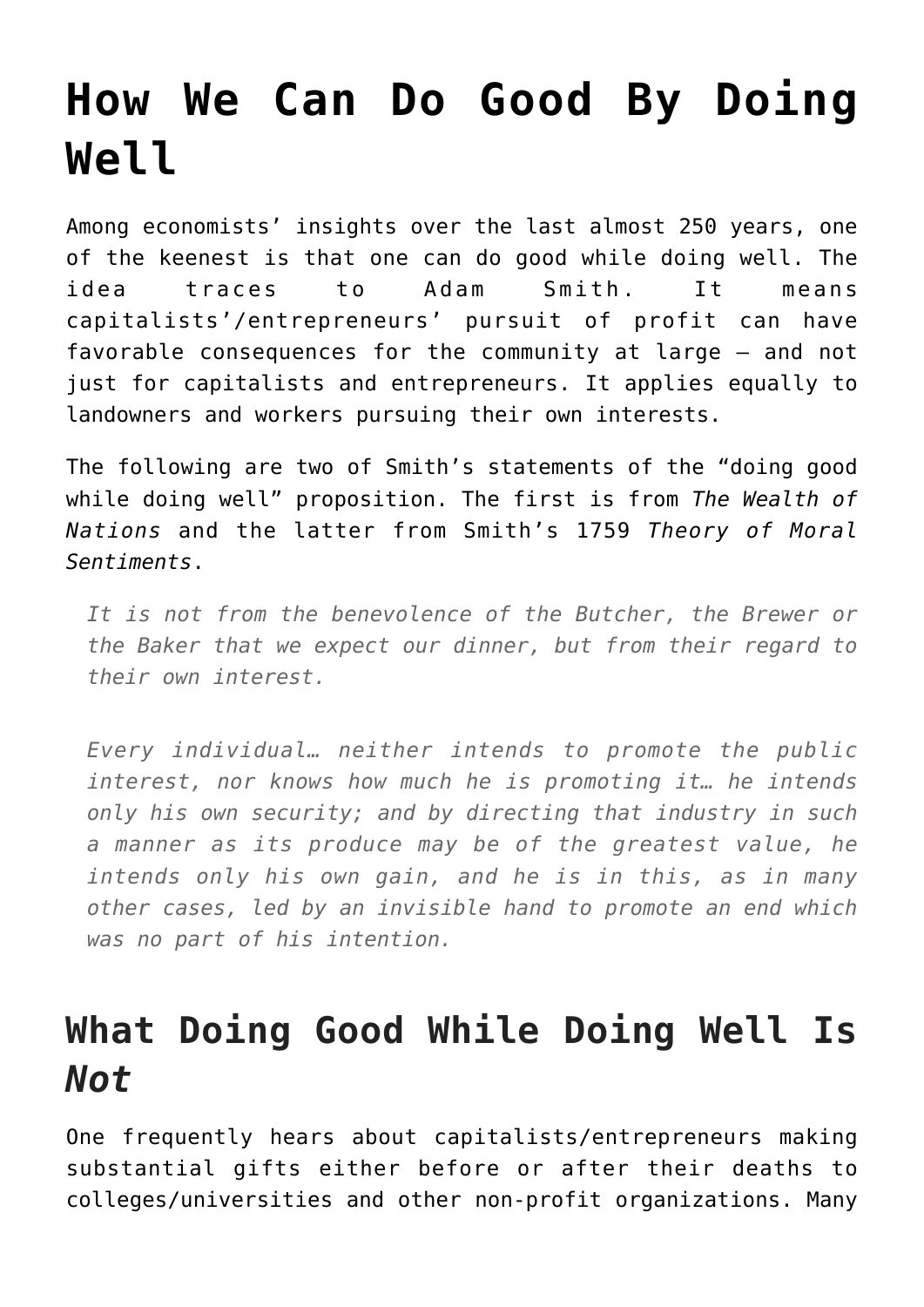## **[How We Can Do Good By Doing](https://intellectualtakeout.org/2019/12/how-we-can-do-good-by-doing-well/) [Well](https://intellectualtakeout.org/2019/12/how-we-can-do-good-by-doing-well/)**

Among economists' insights over the last almost 250 years, one of the keenest is that one can do good while doing well. The idea traces to Adam Smith. It means capitalists'/entrepreneurs' pursuit of profit can have favorable consequences for the community at large – and not just for capitalists and entrepreneurs. It applies equally to landowners and workers pursuing their own interests.

The following are two of Smith's statements of the "doing good while doing well" proposition. The first is from *The Wealth of Nations* and the latter from Smith's 1759 *Theory of Moral Sentiments*.

*It is not from the benevolence of the Butcher, the Brewer or the Baker that we expect our dinner, but from their regard to their own interest.*

*Every individual… neither intends to promote the public interest, nor knows how much he is promoting it… he intends only his own security; and by directing that industry in such a manner as its produce may be of the greatest value, he intends only his own gain, and he is in this, as in many other cases, led by an invisible hand to promote an end which was no part of his intention.*

## **What Doing Good While Doing Well Is** *Not*

One frequently hears about capitalists/entrepreneurs making substantial gifts either before or after their deaths to colleges/universities and other non-profit organizations. Many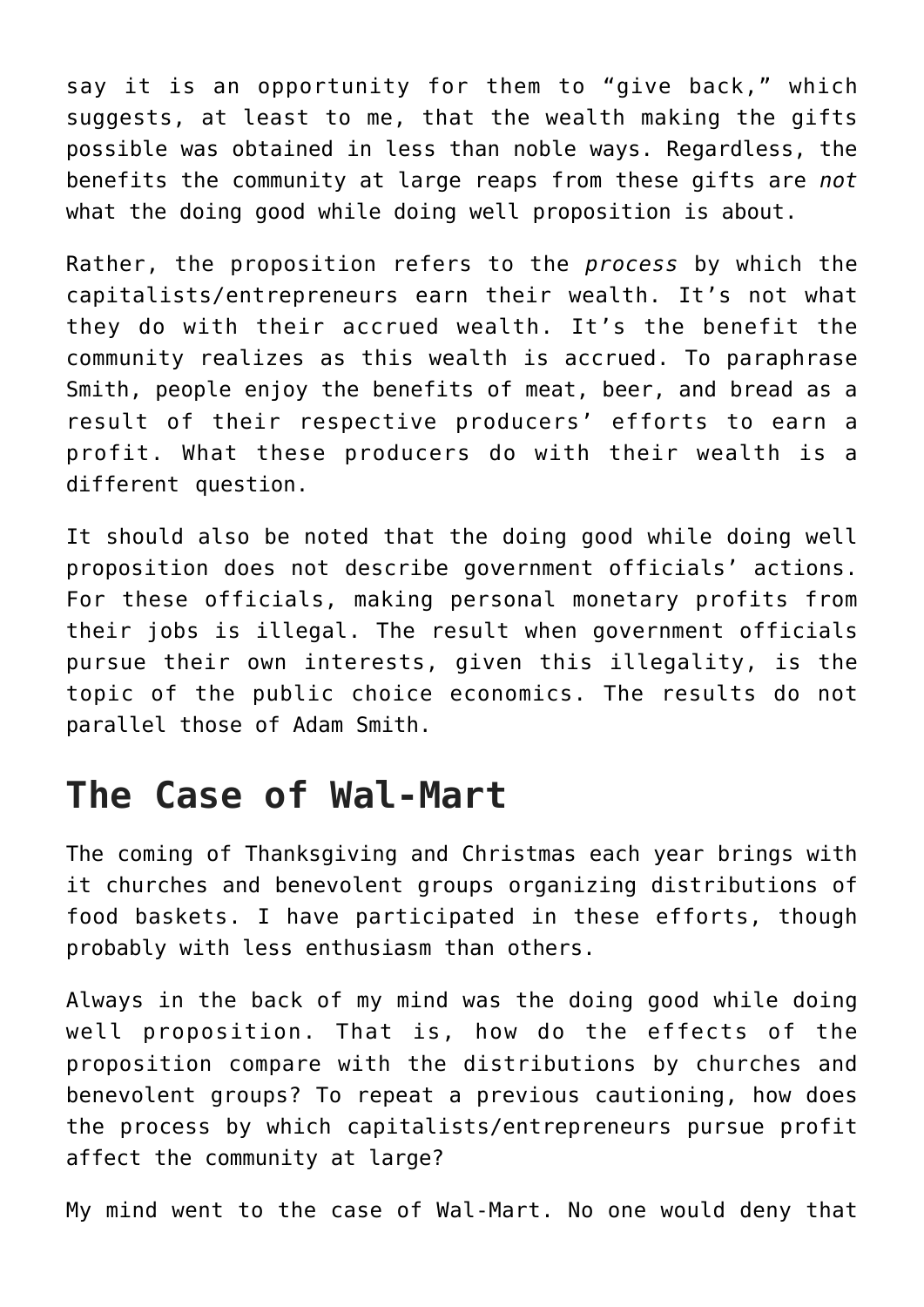say it is an opportunity for them to "give back," which suggests, at least to me, that the wealth making the gifts possible was obtained in less than noble ways. Regardless, the benefits the community at large reaps from these gifts are *not* what the doing good while doing well proposition is about.

Rather, the proposition refers to the *process* by which the capitalists/entrepreneurs earn their wealth. It's not what they do with their accrued wealth. It's the benefit the community realizes as this wealth is accrued. To paraphrase Smith, people enjoy the benefits of meat, beer, and bread as a result of their respective producers' efforts to earn a profit. What these producers do with their wealth is a different question.

It should also be noted that the doing good while doing well proposition does not describe government officials' actions. For these officials, making personal monetary profits from their jobs is illegal. The result when government officials pursue their own interests, given this illegality, is the topic of the public choice economics. The results do not parallel those of Adam Smith.

## **The Case of Wal-Mart**

The coming of Thanksgiving and Christmas each year brings with it churches and benevolent groups organizing distributions of food baskets. I have participated in these efforts, though probably with less enthusiasm than others.

Always in the back of my mind was the doing good while doing well proposition. That is, how do the effects of the proposition compare with the distributions by churches and benevolent groups? To repeat a previous cautioning, how does the process by which capitalists/entrepreneurs pursue profit affect the community at large?

My mind went to the case of Wal-Mart. No one would deny that